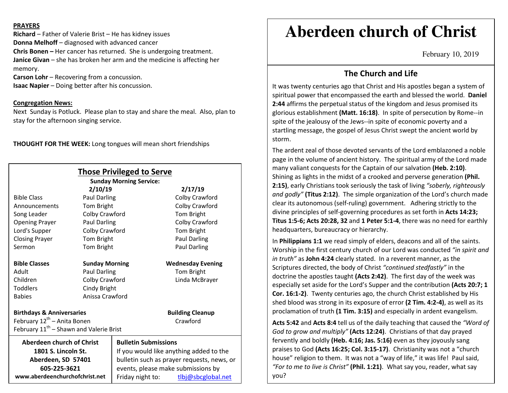### **PRAYERS**

**Richard** – Father of Valerie Brist – He has kidney issues **Donna Melhoff** – diagnosed with advanced cancer **Chris Bonen –** Her cancer has returned. She is undergoing treatment. **Janice Givan** – she has broken her arm and the medicine is affecting her memory.

**Carson Lohr** – Recovering from a concussion.

**Isaac Napier** – Doing better after his concussion.

## **Congregation News:**

 Next Sunday is Potluck. Please plan to stay and share the meal. Also, plan to stay for the afternoon singing service.

**THOUGHT FOR THE WEEK:** Long tongues will mean short friendships

|                                                     |                       | <b>Those Privileged to Serve</b><br><b>Sunday Morning Service:</b> |                          |
|-----------------------------------------------------|-----------------------|--------------------------------------------------------------------|--------------------------|
|                                                     | 2/10/19               |                                                                    | 2/17/19                  |
| <b>Bible Class</b>                                  | <b>Paul Darling</b>   |                                                                    | Colby Crawford           |
| Announcements                                       | Tom Bright            |                                                                    | Colby Crawford           |
| Song Leader                                         | Colby Crawford        |                                                                    | Tom Bright               |
| <b>Opening Prayer</b>                               | <b>Paul Darling</b>   |                                                                    | Colby Crawford           |
| Lord's Supper                                       | Colby Crawford        |                                                                    | Tom Bright               |
| <b>Closing Prayer</b>                               | Tom Bright            |                                                                    | Paul Darling             |
| Sermon                                              | Tom Bright            |                                                                    | Paul Darling             |
| <b>Bible Classes</b>                                | <b>Sunday Morning</b> |                                                                    | <b>Wednesday Evening</b> |
| Adult                                               | <b>Paul Darling</b>   |                                                                    | Tom Bright               |
| Children                                            | Colby Crawford        |                                                                    | Linda McBrayer           |
| <b>Toddlers</b>                                     | Cindy Bright          |                                                                    |                          |
| <b>Babies</b>                                       | Anissa Crawford       |                                                                    |                          |
| <b>Birthdays &amp; Anniversaries</b>                |                       |                                                                    | <b>Building Cleanup</b>  |
| February 12 <sup>th</sup> – Anita Bonen             |                       |                                                                    | Crawford                 |
| February 11 <sup>th</sup> – Shawn and Valerie Brist |                       |                                                                    |                          |
| Aberdeen church of Christ                           |                       | <b>Bulletin Submissions</b>                                        |                          |
| 1801 S. Lincoln St.                                 |                       | If you would like anything added to the                            |                          |
| Aberdeen, SD 57401                                  |                       | bulletin such as prayer requests, news, or                         |                          |
| 605-225-3621                                        |                       | events, please make submissions by                                 |                          |
| www.aberdeenchurchofchrist.net                      |                       | Friday night to:                                                   | tlbj@sbcglobal.net       |

# **Aberdeen church of Christ**

February 10, 2019

# **The Church and Life**

It was twenty centuries ago that Christ and His apostles began a system of spiritual power that encompassed the earth and blessed the world. **Daniel 2:44** affirms the perpetual status of the kingdom and Jesus promised its glorious establishment **(Matt. 16:18)**. In spite of persecution by Rome--in spite of the jealousy of the Jews--in spite of economic poverty and a startling message, the gospel of Jesus Christ swept the ancient world by storm.

The ardent zeal of those devoted servants of the Lord emblazoned a noble page in the volume of ancient history. The spiritual army of the Lord made many valiant conquests for the Captain of our salvation **(Heb. 2:10)**. Shining as lights in the midst of a crooked and perverse generation **(Phil. 2:15)**, early Christians took seriously the task of living *"soberly, righteously and godly"* **(Titus 2:12)**. The simple organization of the Lord's church made clear its autonomous (self-ruling) government. Adhering strictly to the divine principles of self-governing procedures as set forth in **Acts 14:23; Titus 1:5-6; Acts 20:28, 32** and **1 Peter 5:1-4**, there was no need for earthly headquarters, bureaucracy or hierarchy.

In **Philippians 1:1** we read simply of elders, deacons and all of the saints. Worship in the first century church of our Lord was conducted *"in spirit and in truth"* as **John 4:24** clearly stated. In a reverent manner, as the Scriptures directed, the body of Christ *"continued stedfastly"* in the doctrine the apostles taught **(Acts 2:42)**. The first day of the week was especially set aside for the Lord's Supper and the contribution **(Acts 20:7; 1 Cor. 16:1-2)**. Twenty centuries ago, the church Christ established by His shed blood was strong in its exposure of error **(2 Tim. 4:2-4)**, as well as its proclamation of truth **(1 Tim. 3:15)** and especially in ardent evangelism.

**Acts 5:42** and **Acts 8:4** tell us of the daily teaching that caused the *"Word of God to grow and multiply"* **(Acts 12:24)**. Christians of that day prayed fervently and boldly **(Heb. 4:16; Jas. 5:16)** even as they joyously sang praises to God **(Acts 16:25; Col. 3:15-17)**. Christianity was not a "church house" religion to them. It was not a "way of life," it was life! Paul said, *"For to me to live is Christ"* **(Phil. 1:21)**. What say you, reader, what say you?